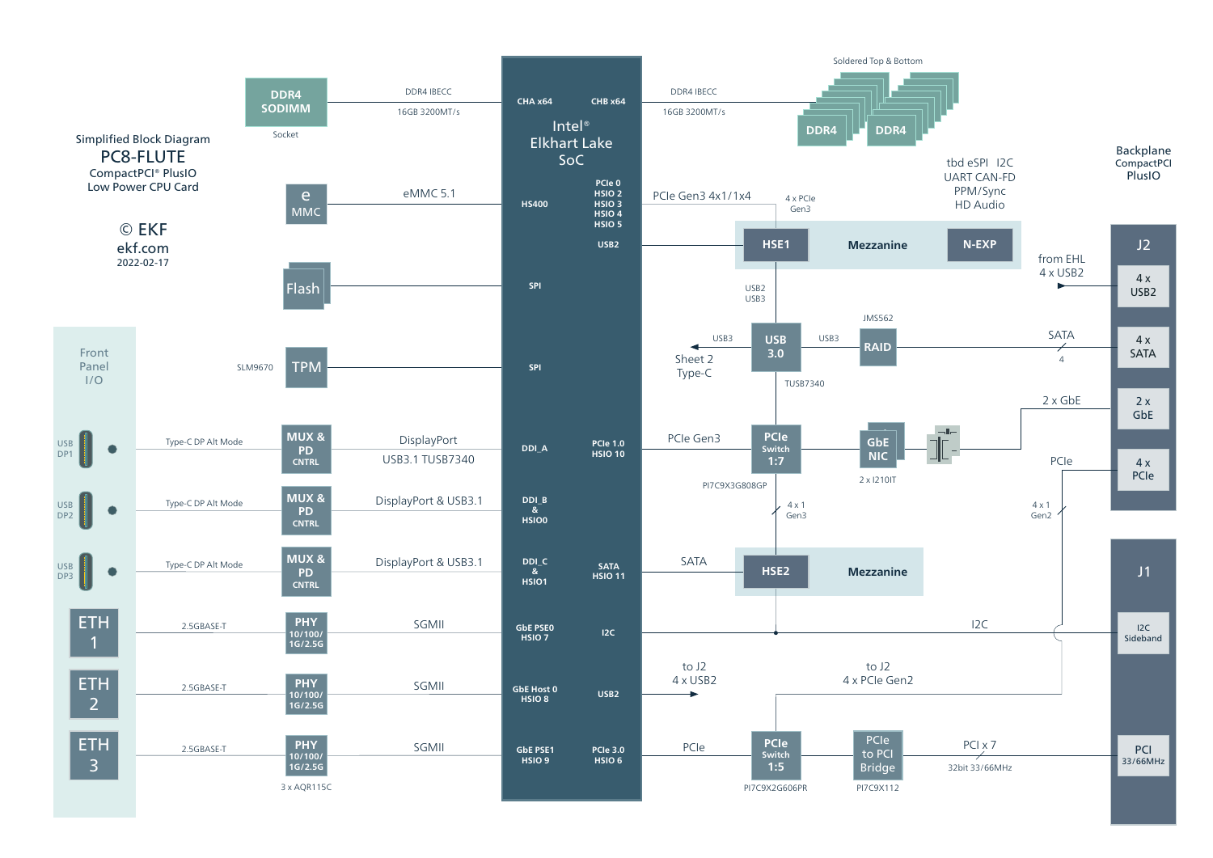